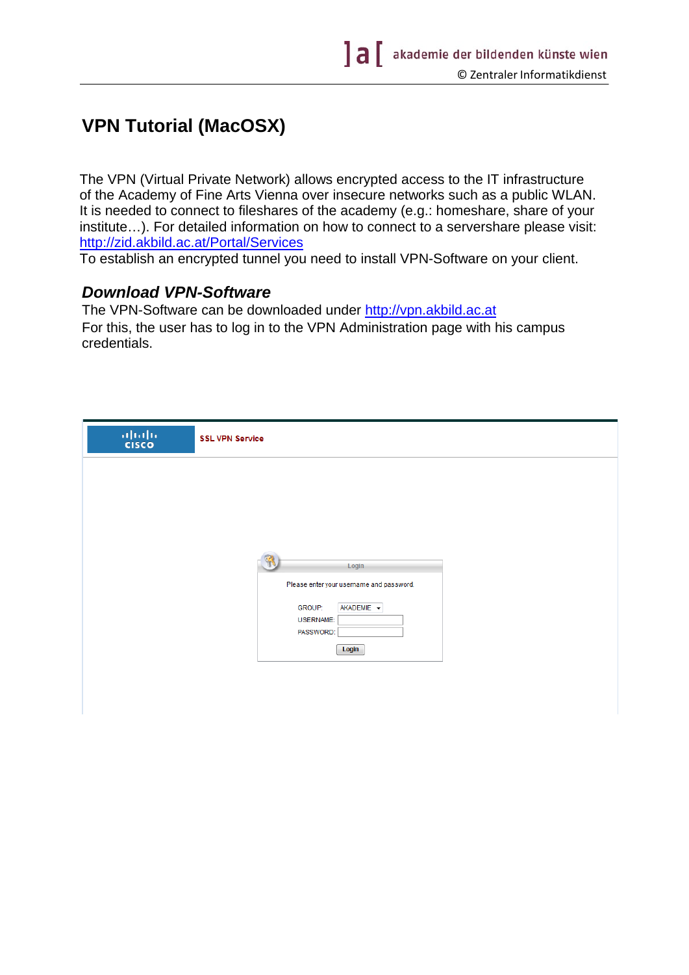## **VPN Tutorial (MacOSX)**

The VPN (Virtual Private Network) allows encrypted access to the IT infrastructure of the Academy of Fine Arts Vienna over insecure networks such as a public WLAN. It is needed to connect to fileshares of the academy (e.g.: homeshare, share of your institute…). For detailed information on how to connect to a servershare please visit: http://zid.akbild.ac.at/Portal/Services

To establish an encrypted tunnel you need to install VPN-Software on your client.

## *Download VPN-Software*

The VPN-Software can be downloaded under http://vpn.akbild.ac.at For this, the user has to log in to the VPN Administration page with his campus credentials.

| $\frac{\mathrm{d}\ln\ln}{\mathrm{c} \mathrm{c} \mathrm{s} \mathrm{c} \mathrm{o}}$ | <b>SSL VPN Service</b>                            |
|-----------------------------------------------------------------------------------|---------------------------------------------------|
|                                                                                   |                                                   |
|                                                                                   |                                                   |
|                                                                                   |                                                   |
|                                                                                   | Login<br>Please enter your username and password. |
|                                                                                   | AKADEMIE -<br><b>GROUP:</b>                       |
|                                                                                   | <b>USERNAME:</b><br>PASSWORD:                     |
|                                                                                   | Login                                             |
|                                                                                   |                                                   |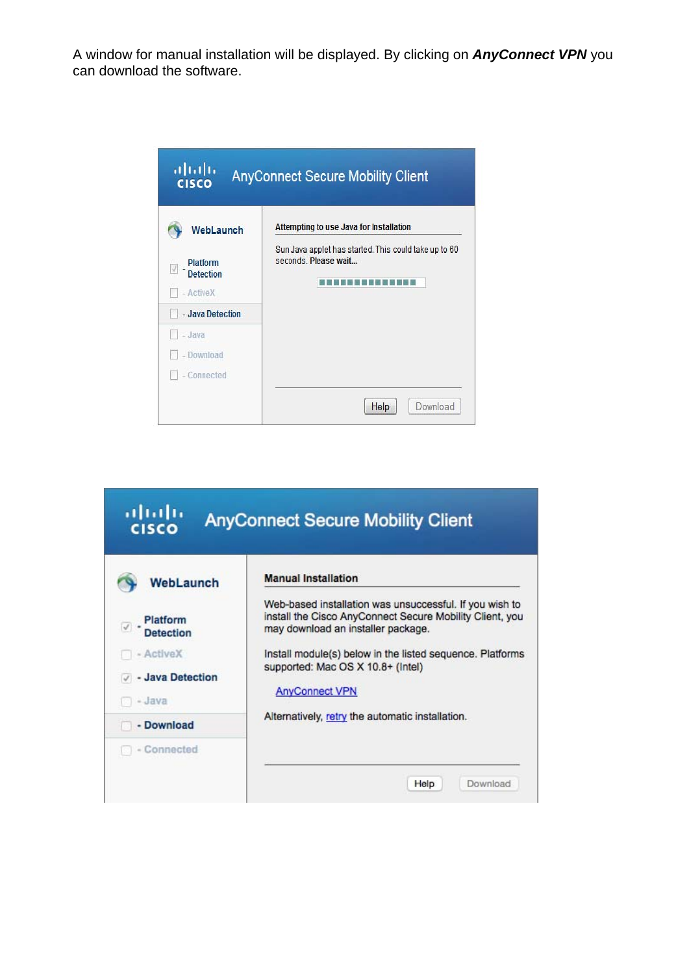A window for manual installation will be displayed. By clicking on *AnyConnect VPN* you can download the software.

| ahdh<br><b>CISCO</b>                      | <b>AnyConnect Secure Mobility Client</b>                                      |
|-------------------------------------------|-------------------------------------------------------------------------------|
| WebLaunch                                 | Attempting to use Java for Installation                                       |
| Platform<br><b>Detection</b><br>- ActiveX | Sun Java applet has started. This could take up to 60<br>seconds. Please wait |
| - Java Detection                          |                                                                               |
| - Java                                    |                                                                               |
| - Download                                |                                                                               |
| - Connected                               |                                                                               |
|                                           | Download<br>Help                                                              |

| allath.<br><b>CISCO</b>       | <b>AnyConnect Secure Mobility Client</b>                                                                                                                  |
|-------------------------------|-----------------------------------------------------------------------------------------------------------------------------------------------------------|
| <b>WebLaunch</b>              | <b>Manual Installation</b>                                                                                                                                |
| Platform<br>Detection         | Web-based installation was unsuccessful. If you wish to<br>install the Cisco AnyConnect Secure Mobility Client, you<br>may download an installer package. |
| - ActiveX<br>- Java Detection | Install module(s) below in the listed sequence. Platforms<br>supported: Mac OS X 10.8+ (Intel)                                                            |
| - Java                        | <b>AnyConnect VPN</b>                                                                                                                                     |
| - Download                    | Alternatively, retry the automatic installation.                                                                                                          |
| - Connected                   | Download<br>Help                                                                                                                                          |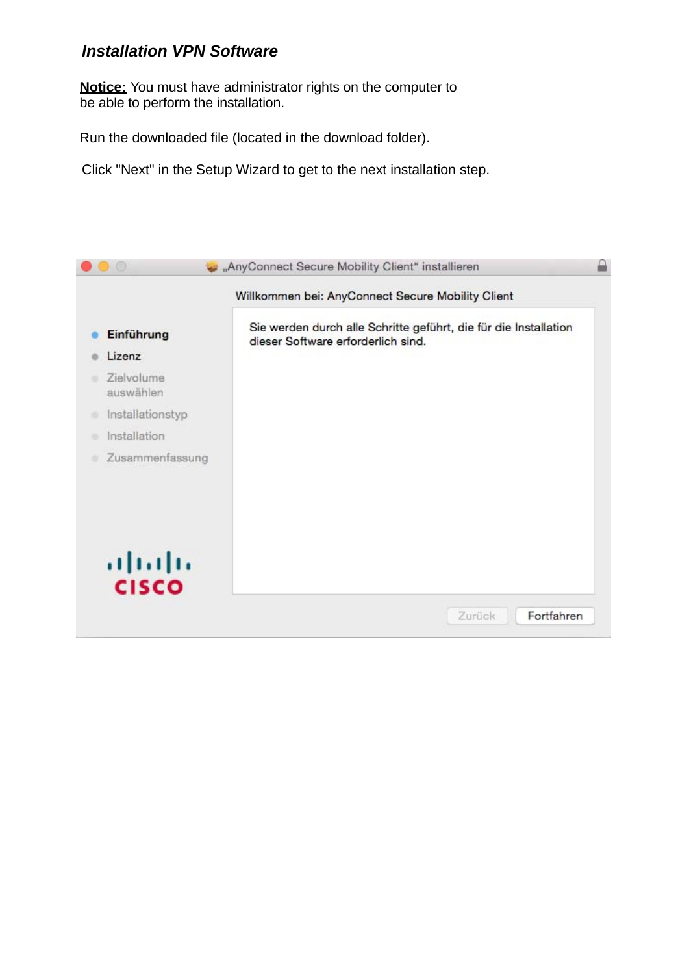## *Installation VPN Software*

**Notice:** You must have administrator rights on the computer to be able to perform the installation.

Run the downloaded file (located in the download folder).

Click "Next" in the Setup Wizard to get to the next installation step.

|                         | Willkommen bei: AnyConnect Secure Mobility Client                                                      |
|-------------------------|--------------------------------------------------------------------------------------------------------|
| Einführung              | Sie werden durch alle Schritte geführt, die für die Installation<br>dieser Software erforderlich sind. |
| Lizenz                  |                                                                                                        |
| Zielvolume<br>auswählen |                                                                                                        |
| Installationstyp<br>۰   |                                                                                                        |
| Installation<br>۰       |                                                                                                        |
| Zusammenfassung         |                                                                                                        |
| aludu<br>Cisco          |                                                                                                        |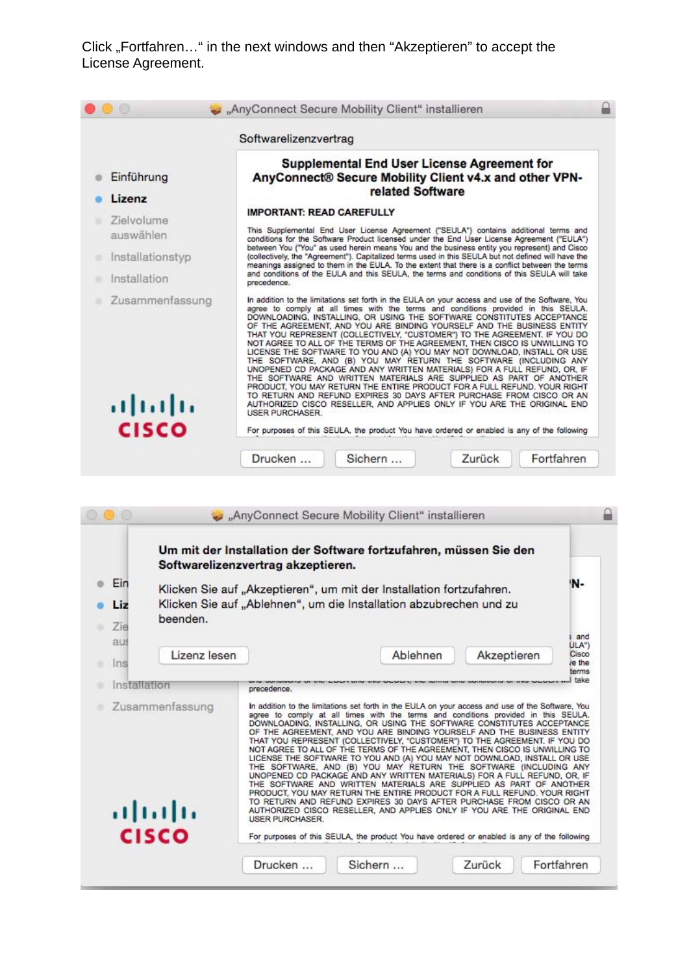Click "Fortfahren…" in the next windows and then "Akzeptieren" to accept the License Agreement.

|                           | Softwarelizenzvertrag                                                                                                                                                                                                                                                                                                                                                                                                                                                                                                                                                                                                                                                                                                                                                                                                                                                                                                                                                                                                                                           |  |  |  |  |
|---------------------------|-----------------------------------------------------------------------------------------------------------------------------------------------------------------------------------------------------------------------------------------------------------------------------------------------------------------------------------------------------------------------------------------------------------------------------------------------------------------------------------------------------------------------------------------------------------------------------------------------------------------------------------------------------------------------------------------------------------------------------------------------------------------------------------------------------------------------------------------------------------------------------------------------------------------------------------------------------------------------------------------------------------------------------------------------------------------|--|--|--|--|
| Einführung                | <b>Supplemental End User License Agreement for</b><br>AnyConnect® Secure Mobility Client v4.x and other VPN-<br>related Software                                                                                                                                                                                                                                                                                                                                                                                                                                                                                                                                                                                                                                                                                                                                                                                                                                                                                                                                |  |  |  |  |
| Lizenz                    | <b>IMPORTANT: READ CAREFULLY</b>                                                                                                                                                                                                                                                                                                                                                                                                                                                                                                                                                                                                                                                                                                                                                                                                                                                                                                                                                                                                                                |  |  |  |  |
| Zielvolume<br>auswählen   | This Supplemental End User License Agreement ("SEULA") contains additional terms and<br>conditions for the Software Product licensed under the End User License Agreement ("EULA")                                                                                                                                                                                                                                                                                                                                                                                                                                                                                                                                                                                                                                                                                                                                                                                                                                                                              |  |  |  |  |
| Installationstyp          | between You ("You" as used herein means You and the business entity you represent) and Cisco<br>(collectively, the "Agreement"). Capitalized terms used in this SEULA but not defined will have the<br>meanings assigned to them in the EULA. To the extent that there is a conflict between the terms                                                                                                                                                                                                                                                                                                                                                                                                                                                                                                                                                                                                                                                                                                                                                          |  |  |  |  |
| Installation              | and conditions of the EULA and this SEULA, the terms and conditions of this SEULA will take<br>precedence.                                                                                                                                                                                                                                                                                                                                                                                                                                                                                                                                                                                                                                                                                                                                                                                                                                                                                                                                                      |  |  |  |  |
| Zusammenfassung<br>albaha | In addition to the limitations set forth in the EULA on your access and use of the Software, You<br>agree to comply at all times with the terms and conditions provided in this SEULA.<br>DOWNLOADING, INSTALLING, OR USING THE SOFTWARE CONSTITUTES ACCEPTANCE<br>OF THE AGREEMENT, AND YOU ARE BINDING YOURSELF AND THE BUSINESS ENTITY<br>THAT YOU REPRESENT (COLLECTIVELY, "CUSTOMER") TO THE AGREEMENT. IF YOU DO<br>NOT AGREE TO ALL OF THE TERMS OF THE AGREEMENT. THEN CISCO IS UNWILLING TO<br>LICENSE THE SOFTWARE TO YOU AND (A) YOU MAY NOT DOWNLOAD, INSTALL OR USE<br>THE SOFTWARE, AND (B) YOU MAY RETURN THE SOFTWARE (INCLUDING ANY<br>UNOPENED CD PACKAGE AND ANY WRITTEN MATERIALS) FOR A FULL REFUND, OR. IF<br>THE SOFTWARE AND WRITTEN MATERIALS ARE SUPPLIED AS PART OF ANOTHER<br>PRODUCT. YOU MAY RETURN THE ENTIRE PRODUCT FOR A FULL REFUND. YOUR RIGHT<br>TO RETURN AND REFUND EXPIRES 30 DAYS AFTER PURCHASE FROM CISCO OR AN<br>AUTHORIZED CISCO RESELLER, AND APPLIES ONLY IF YOU ARE THE ORIGINAL END<br><b>USER PURCHASER.</b> |  |  |  |  |

|                          |                                            | Softwarelizenzvertrag akzeptieren. | "AnyConnect Secure Mobility Client" installieren<br>Um mit der Installation der Software fortzufahren, müssen Sie den                                                                                                                                                                                                                                                                                                                                                                                                                                                                                                                                                                                                                                                                                                                                                                                                                                                                                                                                                                                                                |             |                          |
|--------------------------|--------------------------------------------|------------------------------------|--------------------------------------------------------------------------------------------------------------------------------------------------------------------------------------------------------------------------------------------------------------------------------------------------------------------------------------------------------------------------------------------------------------------------------------------------------------------------------------------------------------------------------------------------------------------------------------------------------------------------------------------------------------------------------------------------------------------------------------------------------------------------------------------------------------------------------------------------------------------------------------------------------------------------------------------------------------------------------------------------------------------------------------------------------------------------------------------------------------------------------------|-------------|--------------------------|
| Ein<br>Liz<br>Zie<br>aus | beenden.                                   |                                    | Klicken Sie auf "Akzeptieren", um mit der Installation fortzufahren.<br>Klicken Sie auf "Ablehnen", um die Installation abzubrechen und zu                                                                                                                                                                                                                                                                                                                                                                                                                                                                                                                                                                                                                                                                                                                                                                                                                                                                                                                                                                                           |             | 'N-<br>and<br>ULA")      |
| Ins                      | Lizenz lesen                               |                                    | Ablehnen                                                                                                                                                                                                                                                                                                                                                                                                                                                                                                                                                                                                                                                                                                                                                                                                                                                                                                                                                                                                                                                                                                                             | Akzeptieren | Cisco<br>re the<br>terms |
| Installation             |                                            | precedence.                        |                                                                                                                                                                                                                                                                                                                                                                                                                                                                                                                                                                                                                                                                                                                                                                                                                                                                                                                                                                                                                                                                                                                                      |             | take                     |
|                          | Zusammenfassung<br>al bala<br><b>CISCO</b> | <b>USER PURCHASER.</b>             | In addition to the limitations set forth in the EULA on your access and use of the Software. You<br>agree to comply at all times with the terms and conditions provided in this SEULA.<br>DOWNLOADING, INSTALLING, OR USING THE SOFTWARE CONSTITUTES ACCEPTANCE<br>OF THE AGREEMENT, AND YOU ARE BINDING YOURSELF AND THE BUSINESS ENTITY<br>THAT YOU REPRESENT (COLLECTIVELY, "CUSTOMER") TO THE AGREEMENT. IF YOU DO<br>NOT AGREE TO ALL OF THE TERMS OF THE AGREEMENT. THEN CISCO IS UNWILLING TO<br>LICENSE THE SOFTWARE TO YOU AND (A) YOU MAY NOT DOWNLOAD, INSTALL OR USE<br>THE SOFTWARE, AND (B) YOU MAY RETURN THE SOFTWARE (INCLUDING ANY<br>UNOPENED CD PACKAGE AND ANY WRITTEN MATERIALS) FOR A FULL REFUND, OR, IF<br>THE SOFTWARE AND WRITTEN MATERIALS ARE SUPPLIED AS PART OF ANOTHER<br>PRODUCT, YOU MAY RETURN THE ENTIRE PRODUCT FOR A FULL REFUND. YOUR RIGHT<br>TO RETURN AND REFUND EXPIRES 30 DAYS AFTER PURCHASE FROM CISCO OR AN<br>AUTHORIZED CISCO RESELLER, AND APPLIES ONLY IF YOU ARE THE ORIGINAL END<br>For purposes of this SEULA, the product You have ordered or enabled is any of the following |             |                          |
|                          |                                            | Drucken                            | Sichern                                                                                                                                                                                                                                                                                                                                                                                                                                                                                                                                                                                                                                                                                                                                                                                                                                                                                                                                                                                                                                                                                                                              | Zurück      | Fortfahren               |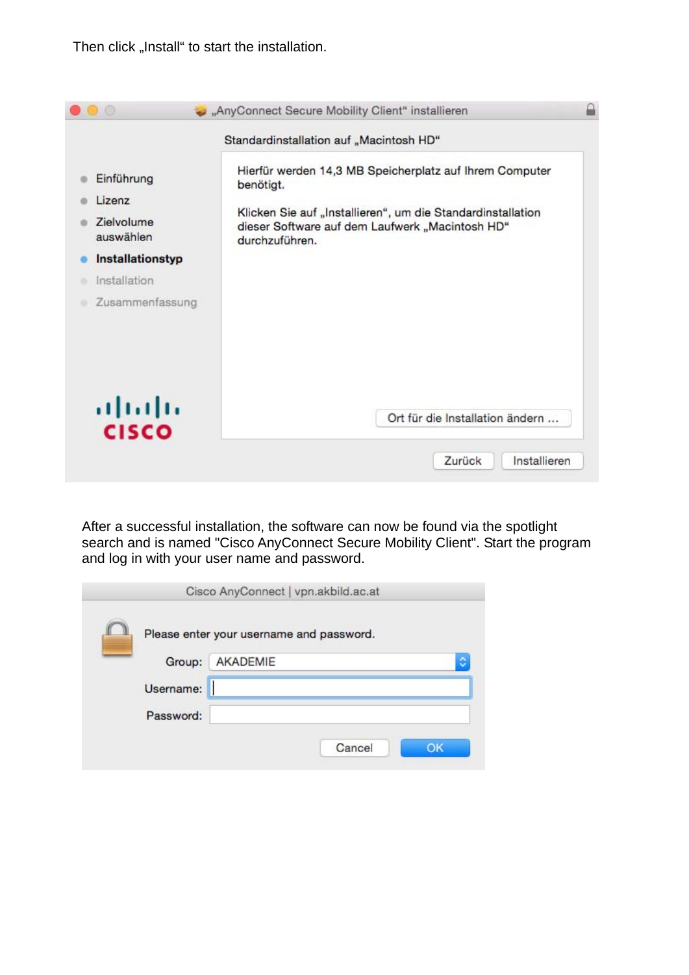Then click "Install" to start the installation.

|                                                                                                               | Standardinstallation auf "Macintosh HD"                                                                                                                                                                  |
|---------------------------------------------------------------------------------------------------------------|----------------------------------------------------------------------------------------------------------------------------------------------------------------------------------------------------------|
| Einführung<br>Lizenz<br><b>Zielvolume</b><br>auswählen<br>Installationstyp<br>Installation<br>Zusammenfassung | Hierfür werden 14,3 MB Speicherplatz auf Ihrem Computer<br>benötigt.<br>Klicken Sie auf "Installieren", um die Standardinstallation<br>dieser Software auf dem Laufwerk "Macintosh HD"<br>durchzuführen. |
| aludn<br><b>CISCO</b>                                                                                         | Ort für die Installation ändern                                                                                                                                                                          |

After a successful installation, the software can now be found via the spotlight search and is named "Cisco AnyConnect Secure Mobility Client". Start the program and log in with your user name and password.

|           | Please enter your username and password. |
|-----------|------------------------------------------|
| Group:    | AKADEMIE                                 |
| Username: |                                          |
| Password: |                                          |
|           | Cancel<br>OK                             |